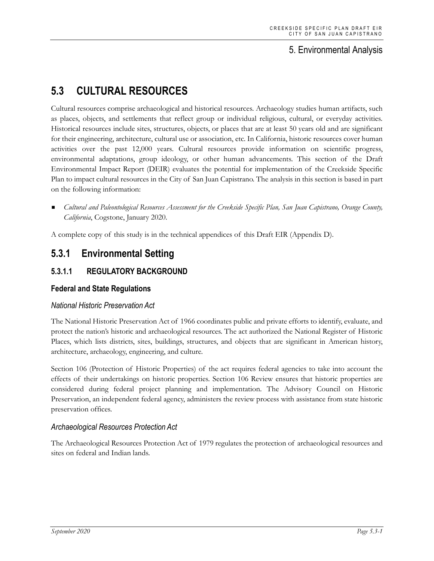## 5. Environmental Analysis

# **5.3 CULTURAL RESOURCES**

Cultural resources comprise archaeological and historical resources. Archaeology studies human artifacts, such as places, objects, and settlements that reflect group or individual religious, cultural, or everyday activities. Historical resources include sites, structures, objects, or places that are at least 50 years old and are significant for their engineering, architecture, cultural use or association, etc. In California, historic resources cover human activities over the past 12,000 years. Cultural resources provide information on scientific progress, environmental adaptations, group ideology, or other human advancements. This section of the Draft Environmental Impact Report (DEIR) evaluates the potential for implementation of the Creekside Specific Plan to impact cultural resources in the City of San Juan Capistrano. The analysis in this section is based in part on the following information:

 *Cultural and Paleontological Resources Assessment for the Creekside Specific Plan, San Juan Capistrano, Orange County, California*, Cogstone, January 2020.

A complete copy of this study is in the technical appendices of this Draft EIR (Appendix D).

## **5.3.1 Environmental Setting**

## **5.3.1.1 REGULATORY BACKGROUND**

## **Federal and State Regulations**

## *National Historic Preservation Act*

The National Historic Preservation Act of 1966 coordinates public and private efforts to identify, evaluate, and protect the nation's historic and archaeological resources. The act authorized the National Register of Historic Places, which lists districts, sites, buildings, structures, and objects that are significant in American history, architecture, archaeology, engineering, and culture.

Section 106 (Protection of Historic Properties) of the act requires federal agencies to take into account the effects of their undertakings on historic properties. Section 106 Review ensures that historic properties are considered during federal project planning and implementation. The Advisory Council on Historic Preservation, an independent federal agency, administers the review process with assistance from state historic preservation offices.

## *Archaeological Resources Protection Act*

The Archaeological Resources Protection Act of 1979 regulates the protection of archaeological resources and sites on federal and Indian lands.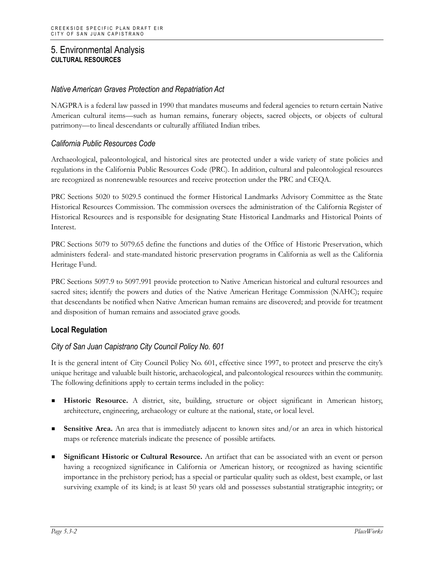## *Native American Graves Protection and Repatriation Act*

NAGPRA is a federal law passed in 1990 that mandates museums and federal agencies to return certain Native American cultural items—such as human remains, funerary objects, sacred objects, or objects of cultural patrimony—to lineal descendants or culturally affiliated Indian tribes.

### *California Public Resources Code*

Archaeological, paleontological, and historical sites are protected under a wide variety of state policies and regulations in the California Public Resources Code (PRC). In addition, cultural and paleontological resources are recognized as nonrenewable resources and receive protection under the PRC and CEQA.

PRC Sections 5020 to 5029.5 continued the former Historical Landmarks Advisory Committee as the State Historical Resources Commission. The commission oversees the administration of the California Register of Historical Resources and is responsible for designating State Historical Landmarks and Historical Points of Interest.

PRC Sections 5079 to 5079.65 define the functions and duties of the Office of Historic Preservation, which administers federal- and state-mandated historic preservation programs in California as well as the California Heritage Fund.

PRC Sections 5097.9 to 5097.991 provide protection to Native American historical and cultural resources and sacred sites; identify the powers and duties of the Native American Heritage Commission (NAHC); require that descendants be notified when Native American human remains are discovered; and provide for treatment and disposition of human remains and associated grave goods.

## **Local Regulation**

## *City of San Juan Capistrano City Council Policy No. 601*

It is the general intent of City Council Policy No. 601, effective since 1997, to protect and preserve the city's unique heritage and valuable built historic, archaeological, and paleontological resources within the community. The following definitions apply to certain terms included in the policy:

- **Historic Resource.** A district, site, building, structure or object significant in American history, architecture, engineering, archaeology or culture at the national, state, or local level.
- **Sensitive Area.** An area that is immediately adjacent to known sites and/or an area in which historical maps or reference materials indicate the presence of possible artifacts.
- **Significant Historic or Cultural Resource.** An artifact that can be associated with an event or person having a recognized significance in California or American history, or recognized as having scientific importance in the prehistory period; has a special or particular quality such as oldest, best example, or last surviving example of its kind; is at least 50 years old and possesses substantial stratigraphic integrity; or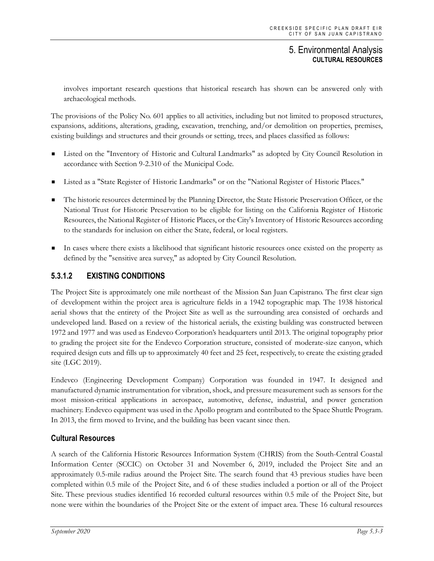involves important research questions that historical research has shown can be answered only with archaeological methods.

The provisions of the Policy No. 601 applies to all activities, including but not limited to proposed structures, expansions, additions, alterations, grading, excavation, trenching, and/or demolition on properties, premises, existing buildings and structures and their grounds or setting, trees, and places classified as follows:

- Listed on the "Inventory of Historic and Cultural Landmarks" as adopted by City Council Resolution in accordance with Section 9-2.310 of the Municipal Code.
- Listed as a "State Register of Historic Landmarks" or on the "National Register of Historic Places."
- The historic resources determined by the Planning Director, the State Historic Preservation Officer, or the National Trust for Historic Preservation to be eligible for listing on the California Register of Historic Resources, the National Register of Historic Places, or the City's Inventory of Historic Resources according to the standards for inclusion on either the State, federal, or local registers.
- In cases where there exists a likelihood that significant historic resources once existed on the property as defined by the "sensitive area survey," as adopted by City Council Resolution.

## **5.3.1.2 EXISTING CONDITIONS**

The Project Site is approximately one mile northeast of the Mission San Juan Capistrano. The first clear sign of development within the project area is agriculture fields in a 1942 topographic map. The 1938 historical aerial shows that the entirety of the Project Site as well as the surrounding area consisted of orchards and undeveloped land. Based on a review of the historical aerials, the existing building was constructed between 1972 and 1977 and was used as Endevco Corporation's headquarters until 2013. The original topography prior to grading the project site for the Endevco Corporation structure, consisted of moderate-size canyon, which required design cuts and fills up to approximately 40 feet and 25 feet, respectively, to create the existing graded site (LGC 2019).

Endevco (Engineering Development Company) Corporation was founded in 1947. It designed and manufactured dynamic instrumentation for vibration, shock, and pressure measurement such as sensors for the most mission-critical applications in aerospace, automotive, defense, industrial, and power generation machinery. Endevco equipment was used in the Apollo program and contributed to the Space Shuttle Program. In 2013, the firm moved to Irvine, and the building has been vacant since then.

## **Cultural Resources**

A search of the California Historic Resources Information System (CHRIS) from the South-Central Coastal Information Center (SCCIC) on October 31 and November 6, 2019, included the Project Site and an approximately 0.5-mile radius around the Project Site. The search found that 43 previous studies have been completed within 0.5 mile of the Project Site, and 6 of these studies included a portion or all of the Project Site. These previous studies identified 16 recorded cultural resources within 0.5 mile of the Project Site, but none were within the boundaries of the Project Site or the extent of impact area. These 16 cultural resources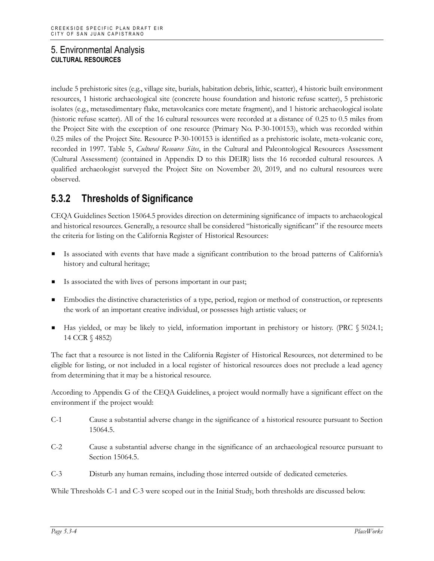include 5 prehistoric sites (e.g., village site, burials, habitation debris, lithic, scatter), 4 historic built environment resources, 1 historic archaeological site (concrete house foundation and historic refuse scatter), 5 prehistoric isolates (e.g., metasedimentary flake, metavolcanics core metate fragment), and 1 historic archaeological isolate (historic refuse scatter). All of the 16 cultural resources were recorded at a distance of 0.25 to 0.5 miles from the Project Site with the exception of one resource (Primary No. P-30-100153), which was recorded within 0.25 miles of the Project Site. Resource P-30-100153 is identified as a prehistoric isolate, meta-volcanic core, recorded in 1997. Table 5, *Cultural Resource Sites*, in the Cultural and Paleontological Resources Assessment (Cultural Assessment) (contained in Appendix D to this DEIR) lists the 16 recorded cultural resources. A qualified archaeologist surveyed the Project Site on November 20, 2019, and no cultural resources were observed.

## **5.3.2 Thresholds of Significance**

CEQA Guidelines Section 15064.5 provides direction on determining significance of impacts to archaeological and historical resources. Generally, a resource shall be considered "historically significant" if the resource meets the criteria for listing on the California Register of Historical Resources:

- Is associated with events that have made a significant contribution to the broad patterns of California's history and cultural heritage;
- Is associated the with lives of persons important in our past;
- Embodies the distinctive characteristics of a type, period, region or method of construction, or represents the work of an important creative individual, or possesses high artistic values; or
- Has yielded, or may be likely to yield, information important in prehistory or history. (PRC § 5024.1; 14 CCR § 4852)

The fact that a resource is not listed in the California Register of Historical Resources, not determined to be eligible for listing, or not included in a local register of historical resources does not preclude a lead agency from determining that it may be a historical resource.

According to Appendix G of the CEQA Guidelines, a project would normally have a significant effect on the environment if the project would:

- C-1 Cause a substantial adverse change in the significance of a historical resource pursuant to Section 15064.5.
- C-2 Cause a substantial adverse change in the significance of an archaeological resource pursuant to Section 15064.5.
- C-3 Disturb any human remains, including those interred outside of dedicated cemeteries.

While Thresholds C-1 and C-3 were scoped out in the Initial Study, both thresholds are discussed below.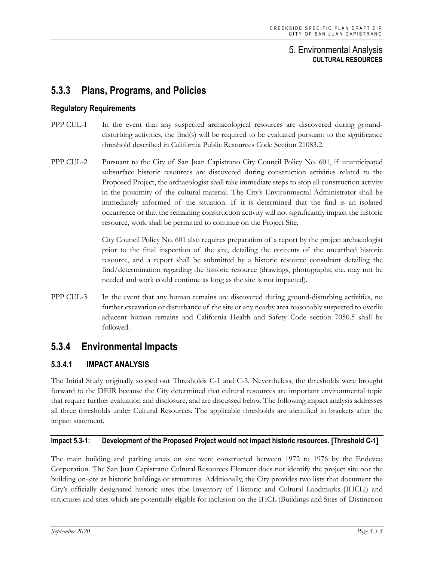## **5.3.3 Plans, Programs, and Policies**

#### **Regulatory Requirements**

- PPP CUL-1 In the event that any suspected archaeological resources are discovered during grounddisturbing activities, the find(s) will be required to be evaluated pursuant to the significance threshold described in California Public Resources Code Section 21083.2.
- PPP CUL-2 Pursuant to the City of San Juan Capistrano City Council Policy No. 601, if unanticipated subsurface historic resources are discovered during construction activities related to the Proposed Project, the archaeologist shall take immediate steps to stop all construction activity in the proximity of the cultural material. The City's Environmental Administrator shall be immediately informed of the situation. If it is determined that the find is an isolated occurrence or that the remaining construction activity will not significantly impact the historic resource, work shall be permitted to continue on the Project Site.

City Council Policy No. 601 also requires preparation of a report by the project archaeologist prior to the final inspection of the site, detailing the contents of the unearthed historic resource, and a report shall be submitted by a historic resource consultant detailing the find/determination regarding the historic resource (drawings, photographs, etc. may not be needed and work could continue as long as the site is not impacted).

PPP CUL-3 In the event that any human remains are discovered during ground-disturbing activities, no further excavation or disturbance of the site or any nearby area reasonably suspected to overlie adjacent human remains and California Health and Safety Code section 7050.5 shall be followed.

## **5.3.4 Environmental Impacts**

## **5.3.4.1 IMPACT ANALYSIS**

The Initial Study originally scoped out Thresholds C-1 and C-3. Nevertheless, the thresholds were brought forward to the DEIR because the City determined that cultural resources are important environmental topic that require further evaluation and disclosure, and are discussed below. The following impact analysis addresses all three thresholds under Cultural Resources. The applicable thresholds are identified in brackets after the impact statement.

#### **Impact 5.3-1: Development of the Proposed Project would not impact historic resources. [Threshold C-1]**

The main building and parking areas on site were constructed between 1972 to 1976 by the Endevco Corporation. The San Juan Capistrano Cultural Resources Element does not identify the project site nor the building on-site as historic buildings or structures. Additionally, the City provides two lists that document the City's officially designated historic sites (the Inventory of Historic and Cultural Landmarks [IHCL]) and structures and sites which are potentially eligible for inclusion on the IHCL (Buildings and Sites of Distinction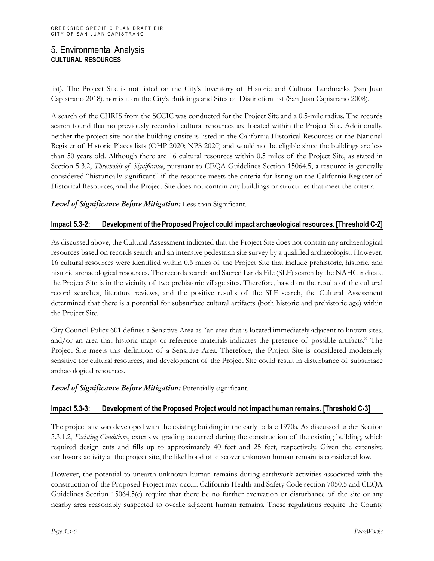list). The Project Site is not listed on the City's Inventory of Historic and Cultural Landmarks (San Juan Capistrano 2018), nor is it on the City's Buildings and Sites of Distinction list (San Juan Capistrano 2008).

A search of the CHRIS from the SCCIC was conducted for the Project Site and a 0.5-mile radius. The records search found that no previously recorded cultural resources are located within the Project Site. Additionally, neither the project site nor the building onsite is listed in the California Historical Resources or the National Register of Historic Places lists (OHP 2020; NPS 2020) and would not be eligible since the buildings are less than 50 years old. Although there are 16 cultural resources within 0.5 miles of the Project Site, as stated in Section 5.3.2, *Thresholds of Significance*, pursuant to CEQA Guidelines Section 15064.5, a resource is generally considered "historically significant" if the resource meets the criteria for listing on the California Register of Historical Resources, and the Project Site does not contain any buildings or structures that meet the criteria.

*Level of Significance Before Mitigation:* Less than Significant.

#### **Impact 5.3-2: Development of the Proposed Project could impact archaeological resources. [Threshold C-2]**

As discussed above, the Cultural Assessment indicated that the Project Site does not contain any archaeological resources based on records search and an intensive pedestrian site survey by a qualified archaeologist. However, 16 cultural resources were identified within 0.5 miles of the Project Site that include prehistoric, historic, and historic archaeological resources. The records search and Sacred Lands File (SLF) search by the NAHC indicate the Project Site is in the vicinity of two prehistoric village sites. Therefore, based on the results of the cultural record searches, literature reviews, and the positive results of the SLF search, the Cultural Assessment determined that there is a potential for subsurface cultural artifacts (both historic and prehistoric age) within the Project Site.

City Council Policy 601 defines a Sensitive Area as "an area that is located immediately adjacent to known sites, and/or an area that historic maps or reference materials indicates the presence of possible artifacts." The Project Site meets this definition of a Sensitive Area. Therefore, the Project Site is considered moderately sensitive for cultural resources, and development of the Project Site could result in disturbance of subsurface archaeological resources.

*Level of Significance Before Mitigation:* Potentially significant.

#### **Impact 5.3-3: Development of the Proposed Project would not impact human remains. [Threshold C-3]**

The project site was developed with the existing building in the early to late 1970s. As discussed under Section 5.3.1.2, *Existing Conditions*, extensive grading occurred during the construction of the existing building, which required design cuts and fills up to approximately 40 feet and 25 feet, respectively. Given the extensive earthwork activity at the project site, the likelihood of discover unknown human remain is considered low.

However, the potential to unearth unknown human remains during earthwork activities associated with the construction of the Proposed Project may occur. California Health and Safety Code section 7050.5 and CEQA Guidelines Section 15064.5(e) require that there be no further excavation or disturbance of the site or any nearby area reasonably suspected to overlie adjacent human remains. These regulations require the County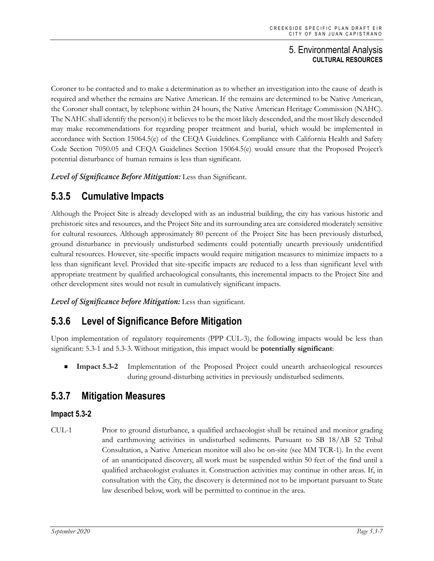Coroner to be contacted and to make a determination as to whether an investigation into the cause of death is required and whether the remains are Native American. If the remains are determined to be Native American, the Coroner shall contact, by telephone within 24 hours, the Native American Heritage Commission (NAHC). The NAHC shall identify the person(s) it believes to be the most likely descended, and the most likely descended may make recommendations for regarding proper treatment and burial, which would be implemented in accordance with Section 15064.5(e) of the CEQA Guidelines. Compliance with California Health and Safety Code Section 7050.05 and CEQA Guidelines Section 15064.5(e) would ensure that the Proposed Project's potential disturbance of human remains is less than significant.

*Level of Significance Before Mitigation:* Less than Significant.

## **5.3.5 Cumulative Impacts**

Although the Project Site is already developed with as an industrial building, the city has various historic and prehistoric sites and resources, and the Project Site and its surrounding area are considered moderately sensitive for cultural resources. Although approximately 80 percent of the Project Site has been previously disturbed, ground disturbance in previously undisturbed sediments could potentially unearth previously unidentified cultural resources. However, site-specific impacts would require mitigation measures to minimize impacts to a less than significant level. Provided that site-specific impacts are reduced to a less than significant level with appropriate treatment by qualified archaeological consultants, this incremental impacts to the Project Site and other development sites would not result in cumulatively significant impacts.

*Level of Significance before Mitigation:* Less than significant.

## **5.3.6 Level of Significance Before Mitigation**

Upon implementation of regulatory requirements (PPP CUL-3), the following impacts would be less than significant: 5.3-1 and 5.3-3. Without mitigation, this impact would be **potentially significant**:

 **Impact 5.3-2** Implementation of the Proposed Project could unearth archaeological resources during ground-disturbing activities in previously undisturbed sediments.

## **5.3.7 Mitigation Measures**

## **Impact 5.3-2**

CUL-1 Prior to ground disturbance, a qualified archaeologist shall be retained and monitor grading and earthmoving activities in undisturbed sediments. Pursuant to SB 18/AB 52 Tribal Consultation, a Native American monitor will also be on-site (see MM TCR-1). In the event of an unanticipated discovery, all work must be suspended within 50 feet of the find until a qualified archaeologist evaluates it. Construction activities may continue in other areas. If, in consultation with the City, the discovery is determined not to be important pursuant to State law described below, work will be permitted to continue in the area.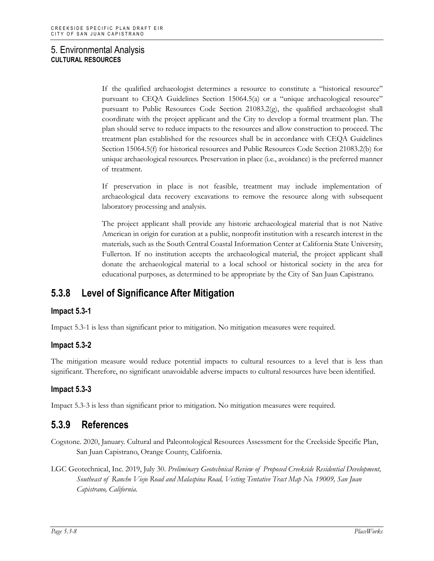If the qualified archaeologist determines a resource to constitute a "historical resource" pursuant to CEQA Guidelines Section 15064.5(a) or a "unique archaeological resource" pursuant to Public Resources Code Section 21083.2(g), the qualified archaeologist shall coordinate with the project applicant and the City to develop a formal treatment plan. The plan should serve to reduce impacts to the resources and allow construction to proceed. The treatment plan established for the resources shall be in accordance with CEQA Guidelines Section 15064.5(f) for historical resources and Public Resources Code Section 21083.2(b) for unique archaeological resources. Preservation in place (i.e., avoidance) is the preferred manner of treatment.

If preservation in place is not feasible, treatment may include implementation of archaeological data recovery excavations to remove the resource along with subsequent laboratory processing and analysis.

The project applicant shall provide any historic archaeological material that is not Native American in origin for curation at a public, nonprofit institution with a research interest in the materials, such as the South Central Coastal Information Center at California State University, Fullerton. If no institution accepts the archaeological material, the project applicant shall donate the archaeological material to a local school or historical society in the area for educational purposes, as determined to be appropriate by the City of San Juan Capistrano.

## **5.3.8 Level of Significance After Mitigation**

## **Impact 5.3-1**

Impact 5.3-1 is less than significant prior to mitigation. No mitigation measures were required.

## **Impact 5.3-2**

The mitigation measure would reduce potential impacts to cultural resources to a level that is less than significant. Therefore, no significant unavoidable adverse impacts to cultural resources have been identified.

## **Impact 5.3-3**

Impact 5.3-3 is less than significant prior to mitigation. No mitigation measures were required.

## **5.3.9 References**

- Cogstone. 2020, January. Cultural and Paleontological Resources Assessment for the Creekside Specific Plan, San Juan Capistrano, Orange County, California.
- LGC Geotechnical, Inc. 2019, July 30. *Preliminary Geotechnical Review of Proposed Creekside Residential Development, Southeast of Rancho Viejo Road and Malaspina Road, Vesting Tentative Tract Map No. 19009, San Juan Capistrano, California*.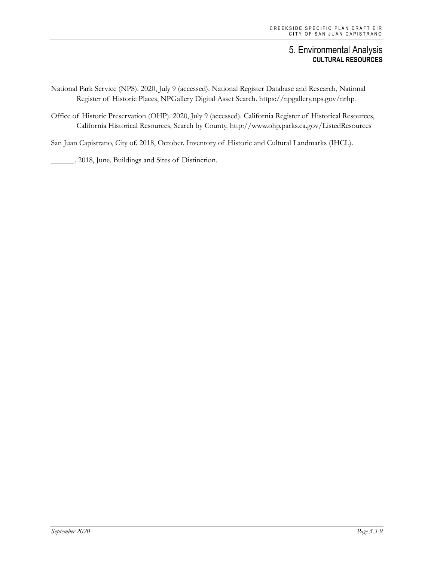- National Park Service (NPS). 2020, July 9 (accessed). National Register Database and Research, National Register of Historic Places, NPGallery Digital Asset Search. https://npgallery.nps.gov/nrhp.
- Office of Historic Preservation (OHP). 2020, July 9 (accessed). California Register of Historical Resources, California Historical Resources, Search by County. http://www.ohp.parks.ca.gov/ListedResources

San Juan Capistrano, City of. 2018, October. Inventory of Historic and Cultural Landmarks (IHCL).

\_\_\_\_\_\_. 2018, June. Buildings and Sites of Distinction.